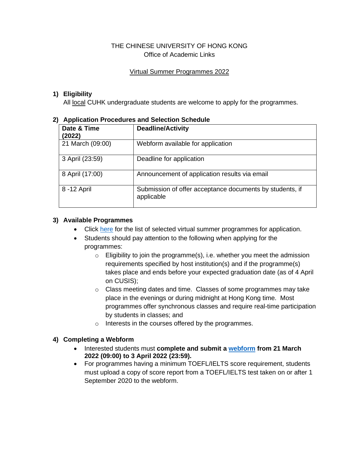#### THE CHINESE UNIVERSITY OF HONG KONG Office of Academic Links

#### Virtual Summer Programmes 2022

### **1) Eligibility**

All local CUHK undergraduate students are welcome to apply for the programmes.

| Application Procedures and Selection Schedule |                                                                        |  |
|-----------------------------------------------|------------------------------------------------------------------------|--|
| Date & Time<br>(2022)                         | <b>Deadline/Activity</b>                                               |  |
| 21 March (09:00)                              | Webform available for application                                      |  |
| 3 April (23:59)                               | Deadline for application                                               |  |
| 8 April (17:00)                               | Announcement of application results via email                          |  |
| 8 - 12 April                                  | Submission of offer acceptance documents by students, if<br>applicable |  |

# **2) Application Procedures and Selection Schedule**

### **3) Available Programmes**

- Click [here](http://www.cuhk.edu.hk/oal/List%20of%20Virtual%20Summer%20Programmes%202022.pdf) for the list of selected virtual summer programmes for application.
- Students should pay attention to the following when applying for the programmes:
	- $\circ$  Eligibility to join the programme(s), i.e. whether you meet the admission requirements specified by host institution(s) and if the programme(s) takes place and ends before your expected graduation date (as of 4 April on CUSIS);
	- o Class meeting dates and time. Classes of some programmes may take place in the evenings or during midnight at Hong Kong time. Most programmes offer synchronous classes and require real-time participation by students in classes; and
	- o Interests in the courses offered by the programmes.

### **4) Completing a Webform**

- Interested students must **complete and submit a [webform](https://cloud.itsc.cuhk.edu.hk/webform/view.php?id=13647407) from 21 March 2022 (09:00) to 3 April 2022 (23:59).**
- For programmes having a minimum TOEFL/IELTS score requirement, students must upload a copy of score report from a TOEFL/IELTS test taken on or after 1 September 2020 to the webform.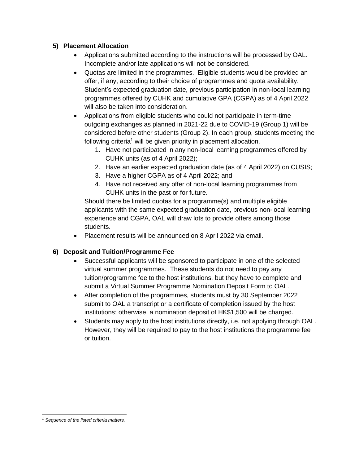#### **5) Placement Allocation**

- Applications submitted according to the instructions will be processed by OAL. Incomplete and/or late applications will not be considered.
- Quotas are limited in the programmes. Eligible students would be provided an offer, if any, according to their choice of programmes and quota availability. Student's expected graduation date, previous participation in non-local learning programmes offered by CUHK and cumulative GPA (CGPA) as of 4 April 2022 will also be taken into consideration.
- Applications from eligible students who could not participate in term-time outgoing exchanges as planned in 2021-22 due to COVID-19 (Group 1) will be considered before other students (Group 2). In each group, students meeting the following criteria<sup>1</sup> will be given priority in placement allocation.
	- 1. Have not participated in any non-local learning programmes offered by CUHK units (as of 4 April 2022);
	- 2. Have an earlier expected graduation date (as of 4 April 2022) on CUSIS;
	- 3. Have a higher CGPA as of 4 April 2022; and
	- 4. Have not received any offer of non-local learning programmes from CUHK units in the past or for future.

Should there be limited quotas for a programme(s) and multiple eligible applicants with the same expected graduation date, previous non-local learning experience and CGPA, OAL will draw lots to provide offers among those students.

• Placement results will be announced on 8 April 2022 via email.

### **6) Deposit and Tuition/Programme Fee**

- Successful applicants will be sponsored to participate in one of the selected virtual summer programmes. These students do not need to pay any tuition/programme fee to the host institutions, but they have to complete and submit a Virtual Summer Programme Nomination Deposit Form to OAL.
- After completion of the programmes, students must by 30 September 2022 submit to OAL a transcript or a certificate of completion issued by the host institutions; otherwise, a nomination deposit of HK\$1,500 will be charged.
- Students may apply to the host institutions directly, i.e. not applying through OAL. However, they will be required to pay to the host institutions the programme fee or tuition.

*<sup>1</sup> Sequence of the listed criteria matters.*